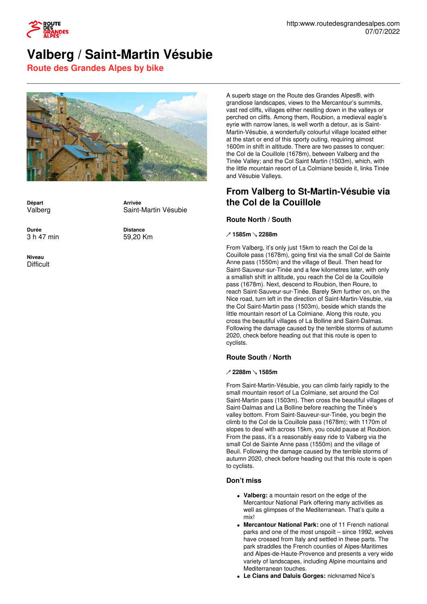

# **Valberg / Saint-Martin Vésubie**

**Route des Grandes Alpes by bike**



**Départ** Valberg

**Arrivée** Saint-Martin Vésubie

**Distance** 59,20 Km

**Durée** 3 h 47 min

**Niveau Difficult**  grandiose landscapes, views to the Mercantour's summits, vast red cliffs, villages either nestling down in the valleys or perched on cliffs. Among them, Roubion, a medieval eagle's eyrie with narrow lanes, is well worth a detour, as is Saint-Martin-Vésubie, a wonderfully colourful village located either at the start or end of this sporty outing, requiring almost 1600m in shift in altitude. There are two passes to conquer: the Col de la Couillole (1678m), between Valberg and the Tinée Valley; and the Col Saint Martin (1503m), which, with the little mountain resort of La Colmiane beside it, links Tinée and Vésubie Valleys.

A superb stage on the Route des Grandes Alpes®, with

# **From Valberg to St-Martin-Vésubie via the Col de la Couillole**

# **Route North / South**

#### **↗ 1585m ↘ 2288m**

From Valberg, it's only just 15km to reach the Col de la Couillole pass (1678m), going first via the small Col de Sainte Anne pass (1550m) and the village of Beuil. Then head for Saint-Sauveur-sur-Tinée and a few kilometres later, with only a smallish shift in altitude, you reach the Col de la Couillole pass (1678m). Next, descend to Roubion, then Roure, to reach Saint-Sauveur-sur-Tinée. Barely 5km further on, on the Nice road, turn left in the direction of Saint-Martin-Vésubie, via the Col Saint-Martin pass (1503m), beside which stands the little mountain resort of La Colmiane. Along this route, you cross the beautiful villages of La Bolline and Saint-Dalmas. Following the damage caused by the terrible storms of autumn 2020, check before heading out that this route is open to cyclists.

# **Route South / North**

#### **↗ 2288m ↘ 1585m**

From Saint-Martin-Vésubie, you can climb fairly rapidly to the small mountain resort of La Colmiane, set around the Col Saint-Martin pass (1503m). Then cross the beautiful villages of Saint-Dalmas and La Bolline before reaching the Tinée's valley bottom. From Saint-Sauveur-sur-Tinée, you begin the climb to the Col de la Couillole pass (1678m); with 1170m of slopes to deal with across 15km, you could pause at Roubion. From the pass, it's a reasonably easy ride to Valberg via the small Col de Sainte Anne pass (1550m) and the village of Beuil. Following the damage caused by the terrible storms of autumn 2020, check before heading out that this route is open to cyclists.

# **Don't miss**

- **Valberg:** a mountain resort on the edge of the Mercantour National Park offering many activities as well as glimpses of the Mediterranean. That's quite a mix!
- **Mercantour National Park:** one of 11 French national parks and one of the most unspoilt – since 1992, wolves have crossed from Italy and settled in these parts. The park straddles the French counties of Alpes-Maritimes and Alpes-de-Haute-Provence and presents a very wide variety of landscapes, including Alpine mountains and Mediterranean touches.
- **Le Cians and Daluis Gorges:** nicknamed Nice's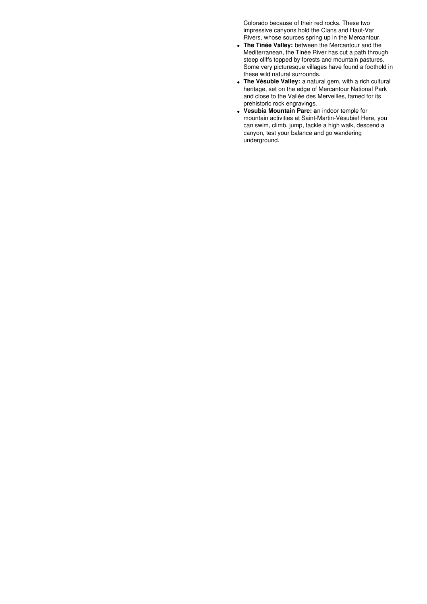Colorado because of their red rocks. These two impressive canyons hold the Cians and Haut-Var Rivers, whose sources spring up in the Mercantour.

- **The Tinée Valley:** between the Mercantour and the Mediterranean, the Tinée River has cut a path through steep cliffs topped by forests and mountain pastures. Some very picturesque villages have found a foothold in these wild natural surrounds.
- **The Vésubie Valley:** a natural gem, with a rich cultural heritage, set on the edge of Mercantour National Park and close to the Vallée des Merveilles, famed for its prehistoric rock engravings.
- **Vesubia Mountain Parc: a**n indoor temple for mountain activities at Saint-Martin-Vésubie! Here, you can swim, climb, jump, tackle a high walk, descend a canyon, test your balance and go wandering underground.